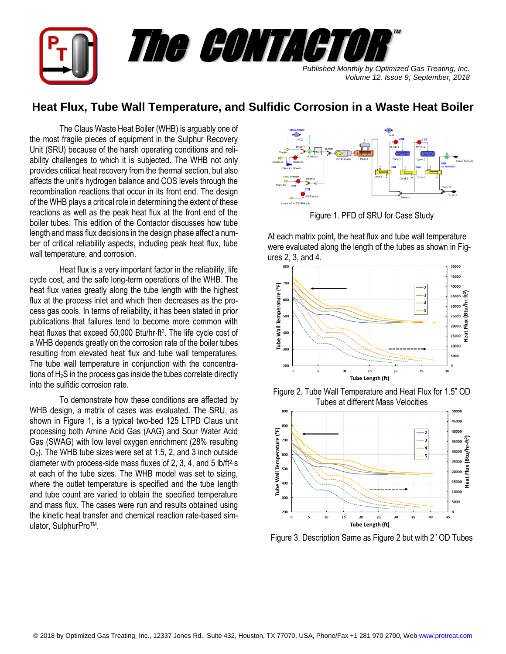

## **Heat Flux, Tube Wall Temperature, and Sulfidic Corrosion in a Waste Heat Boiler**

The Claus Waste Heat Boiler (WHB) is arguably one of the most fragile pieces of equipment in the Sulphur Recovery Unit (SRU) because of the harsh operating conditions and reliability challenges to which it is subjected. The WHB not only provides critical heat recovery from the thermal section, but also affects the unit's hydrogen balance and COS levels through the recombination reactions that occur in its front end. The design of the WHB plays a critical role in determining the extent of these reactions as well as the peak heat flux at the front end of the boiler tubes. This edition of the Contactor discusses how tube length and mass flux decisions in the design phase affect a number of critical reliability aspects, including peak heat flux, tube wall temperature, and corrosion.

Heat flux is a very important factor in the reliability, life cycle cost, and the safe long-term operations of the WHB. The heat flux varies greatly along the tube length with the highest flux at the process inlet and which then decreases as the process gas cools. In terms of reliability, it has been stated in prior publications that failures tend to become more common with heat fluxes that exceed 50,000 Btu/hr·ft<sup>2</sup>. The life cycle cost of a WHB depends greatly on the corrosion rate of the boiler tubes resulting from elevated heat flux and tube wall temperatures. The tube wall temperature in conjunction with the concentrations of H<sub>2</sub>S in the process gas inside the tubes correlate directly into the sulfidic corrosion rate.

To demonstrate how these conditions are affected by WHB design, a matrix of cases was evaluated. The SRU, as shown in Figure 1, is a typical two-bed 125 LTPD Claus unit processing both Amine Acid Gas (AAG) and Sour Water Acid Gas (SWAG) with low level oxygen enrichment (28% resulting O2). The WHB tube sizes were set at 1.5, 2, and 3 inch outside diameter with process-side mass fluxes of 2, 3, 4, and 5  $\text{lb/ft}^2\text{-s}$ at each of the tube sizes. The WHB model was set to sizing, where the outlet temperature is specified and the tube length and tube count are varied to obtain the specified temperature and mass flux. The cases were run and results obtained using the kinetic heat transfer and chemical reaction rate-based simulator, SulphurPro™.



Figure 1. PFD of SRU for Case Study

At each matrix point, the heat flux and tube wall temperature were evaluated along the length of the tubes as shown in Figures 2, 3, and 4.



Figure 2. Tube Wall Temperature and Heat Flux for 1.5" OD Tubes at different Mass Velocities



Figure 3. Description Same as Figure 2 but with 2" OD Tubes